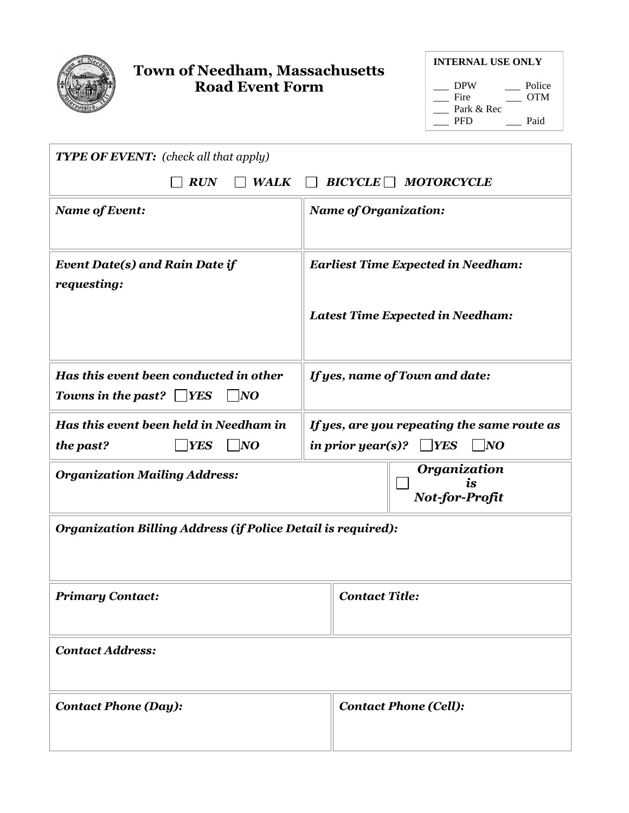

## **Town of Needham, Massachusetts Road Event Form**

| <b>INTERNAL USE ONLY</b> |        |  |
|--------------------------|--------|--|
| <b>DPW</b>               | Police |  |
| Fire                     | OTM    |  |
| Park & Rec               |        |  |
| PFD                      | Paid   |  |

| <b>TYPE OF EVENT:</b> (check all that apply)                                               |                                                                                               |  |
|--------------------------------------------------------------------------------------------|-----------------------------------------------------------------------------------------------|--|
| $BICYCLE$ MOTORCYCLE<br><b>RUN</b><br><b>WALK</b>                                          |                                                                                               |  |
| <b>Name of Event:</b>                                                                      | <b>Name of Organization:</b>                                                                  |  |
| <b>Event Date(s) and Rain Date if</b><br>requesting:                                       | <b>Earliest Time Expected in Needham:</b><br><b>Latest Time Expected in Needham:</b>          |  |
| Has this event been conducted in other<br>Towns in the past? $\Box$ YES<br>$\overline{NQ}$ | If yes, name of Town and date:                                                                |  |
| Has this event been held in Needham in<br>$\overline{N}$<br><b>YES</b><br>the past?        | If yes, are you repeating the same route as<br>$ $ YES<br>in prior year(s)?<br>$\overline{N}$ |  |
| <b>Organization Mailing Address:</b>                                                       | Organization<br>ĭѕ<br>Not-for-Profit                                                          |  |
| Organization Billing Address (if Police Detail is required):                               |                                                                                               |  |
| <b>Primary Contact:</b>                                                                    | <b>Contact Title:</b>                                                                         |  |
| <b>Contact Address:</b>                                                                    |                                                                                               |  |
| <b>Contact Phone (Day):</b>                                                                | <b>Contact Phone (Cell):</b>                                                                  |  |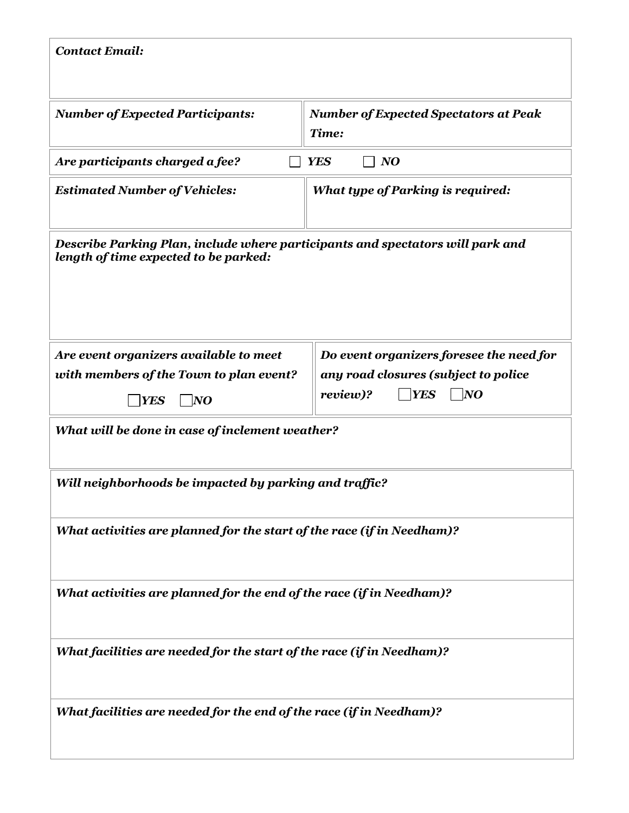| <b>Contact Email:</b>                                                                                                   |                                                                                                                   |  |
|-------------------------------------------------------------------------------------------------------------------------|-------------------------------------------------------------------------------------------------------------------|--|
| <b>Number of Expected Participants:</b>                                                                                 | <b>Number of Expected Spectators at Peak</b><br>Time:                                                             |  |
| Are participants charged a fee?<br><b>YES</b><br>NQ                                                                     |                                                                                                                   |  |
| <b>Estimated Number of Vehicles:</b>                                                                                    | <b>What type of Parking is required:</b>                                                                          |  |
| Describe Parking Plan, include where participants and spectators will park and<br>length of time expected to be parked: |                                                                                                                   |  |
| Are event organizers available to meet<br>with members of the Town to plan event?<br><b>YES</b><br>$\overline{N}$       | Do event organizers foresee the need for<br>any road closures (subject to police<br>review)?<br><b>YES</b><br> NO |  |
| What will be done in case of inclement weather?                                                                         |                                                                                                                   |  |
| Will neighborhoods be impacted by parking and traffic?                                                                  |                                                                                                                   |  |
| What activities are planned for the start of the race (if in Needham)?                                                  |                                                                                                                   |  |
| What activities are planned for the end of the race (if in Needham)?                                                    |                                                                                                                   |  |
| What facilities are needed for the start of the race (if in Needham)?                                                   |                                                                                                                   |  |
| What facilities are needed for the end of the race (if in Needham)?                                                     |                                                                                                                   |  |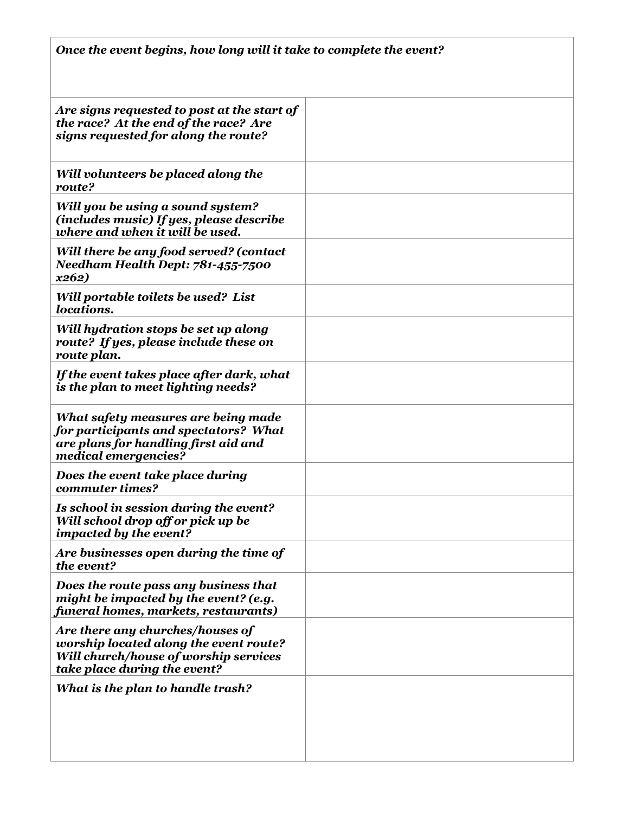| Once the event begins, how long will it take to complete the event?                                                                                 |  |  |
|-----------------------------------------------------------------------------------------------------------------------------------------------------|--|--|
| Are signs requested to post at the start of<br>the race? At the end of the race? Are<br>signs requested for along the route?                        |  |  |
| Will volunteers be placed along the<br>route?                                                                                                       |  |  |
| Will you be using a sound system?<br>(includes music) If yes, please describe<br>where and when it will be used.                                    |  |  |
| Will there be any food served? (contact<br>Needham Health Dept: 781-455-7500<br>x262)                                                               |  |  |
| Will portable toilets be used? List<br><i>locations.</i>                                                                                            |  |  |
| Will hydration stops be set up along<br>route? If yes, please include these on<br>route plan.                                                       |  |  |
| If the event takes place after dark, what<br>is the plan to meet lighting needs?                                                                    |  |  |
| What safety measures are being made<br>for participants and spectators? What<br>are plans for handling first aid and<br>medical emergencies?        |  |  |
| Does the event take place during<br>commuter times?                                                                                                 |  |  |
| Is school in session during the event?<br>Will school drop off or pick up be<br>impacted by the event?                                              |  |  |
| Are businesses open during the time of<br>the event?                                                                                                |  |  |
| Does the route pass any business that<br>might be impacted by the event? (e.g.<br>funeral homes, markets, restaurants)                              |  |  |
| Are there any churches/houses of<br>worship located along the event route?<br>Will church/house of worship services<br>take place during the event? |  |  |
| What is the plan to handle trash?                                                                                                                   |  |  |
|                                                                                                                                                     |  |  |
|                                                                                                                                                     |  |  |